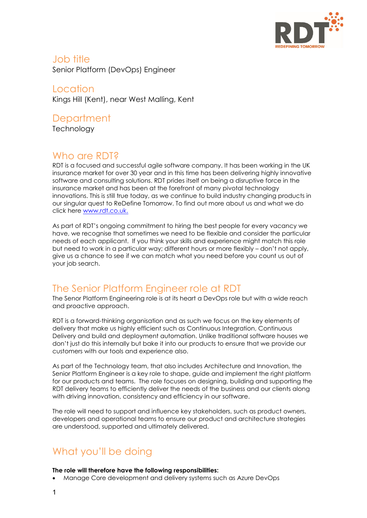

### Job title Senior Platform (DevOps) Engineer

Location Kings Hill (Kent), near West Malling, Kent

## **Department**

**Technology** 

## Who are RDT?

RDT is a focused and successful agile software company. It has been working in the UK insurance market for over 30 year and in this time has been delivering highly innovative software and consulting solutions. RDT prides itself on being a disruptive force in the insurance market and has been at the forefront of many pivotal technology innovations. This is still true today, as we continue to build industry changing products in our singular quest to ReDefine Tomorrow. To find out more about us and what we do click here [www.rdt.co.uk.](http://www.rdt.co.uk/)

As part of RDT's ongoing commitment to hiring the best people for every vacancy we have, we recognise that sometimes we need to be flexible and consider the particular needs of each applicant. If you think your skills and experience might match this role but need to work in a particular way; different hours or more flexibly – don't not apply, give us a chance to see if we can match what you need before you count us out of your job search.

# The Senior Platform Engineer role at RDT

The Senor Platform Engineering role is at its heart a DevOps role but with a wide reach and proactive approach.

RDT is a forward-thinking organisation and as such we focus on the key elements of delivery that make us highly efficient such as Continuous Integration, Continuous Delivery and build and deployment automation. Unlike traditional software houses we don't just do this internally but bake it into our products to ensure that we provide our customers with our tools and experience also.

As part of the Technology team, that also includes Architecture and Innovation, the Senior Platform Engineer is a key role to shape, guide and implement the right platform for our products and teams. The role focuses on designing, building and supporting the RDT delivery teams to efficiently deliver the needs of the business and our clients along with driving innovation, consistency and efficiency in our software.

The role will need to support and influence key stakeholders, such as product owners, developers and operational teams to ensure our product and architecture strategies are understood, supported and ultimately delivered.

# What you'll be doing

#### **The role will therefore have the following responsibilities:**

• Manage Core development and delivery systems such as Azure DevOps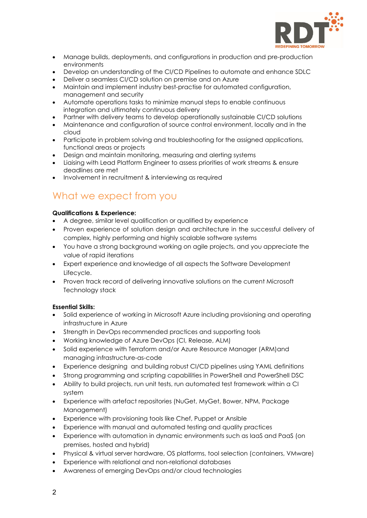

- Manage builds, deployments, and configurations in production and pre-production environments
- Develop an understanding of the CI/CD Pipelines to automate and enhance SDLC
- Deliver a seamless CI/CD solution on premise and on Azure
- Maintain and implement industry best-practise for automated configuration, management and security
- Automate operations tasks to minimize manual steps to enable continuous integration and ultimately continuous delivery
- Partner with delivery teams to develop operationally sustainable CI/CD solutions
- Maintenance and configuration of source control environment, locally and in the cloud
- Participate in problem solving and troubleshooting for the assigned applications, functional areas or projects
- Design and maintain monitoring, measuring and alerting systems
- Liaising with Lead Platform Engineer to assess priorities of work streams & ensure deadlines are met
- Involvement in recruitment & interviewing as required

### What we expect from you

#### **Qualifications & Experience:**

- A degree, similar level qualification or qualified by experience
- Proven experience of solution design and architecture in the successful delivery of complex, highly performing and highly scalable software systems
- You have a strong background working on agile projects, and you appreciate the value of rapid iterations
- Expert experience and knowledge of all aspects the Software Development Lifecycle.
- Proven track record of delivering innovative solutions on the current Microsoft Technology stack

### **Essential Skills:**

- Solid experience of working in Microsoft Azure including provisioning and operating infrastructure in Azure
- Strength in DevOps recommended practices and supporting tools
- Working knowledge of Azure DevOps (CI, Release, ALM)
- Solid experience with Terraform and/or Azure Resource Manager (ARM)and managing infrastructure-as-code
- Experience designing and building robust CI/CD pipelines using YAML definitions
- Strong programming and scripting capabilities in PowerShell and PowerShell DSC
- Ability to build projects, run unit tests, run automated test framework within a CI system
- Experience with artefact repositories (NuGet, MyGet, Bower, NPM, Package Management)
- Experience with provisioning tools like Chef, Puppet or Ansible
- Experience with manual and automated testing and quality practices
- Experience with automation in dynamic environments such as IaaS and PaaS (on premises, hosted and hybrid)
- Physical & virtual server hardware, OS platforms, tool selection (containers, VMware)
- Experience with relational and non-relational databases
- Awareness of emerging DevOps and/or cloud technologies